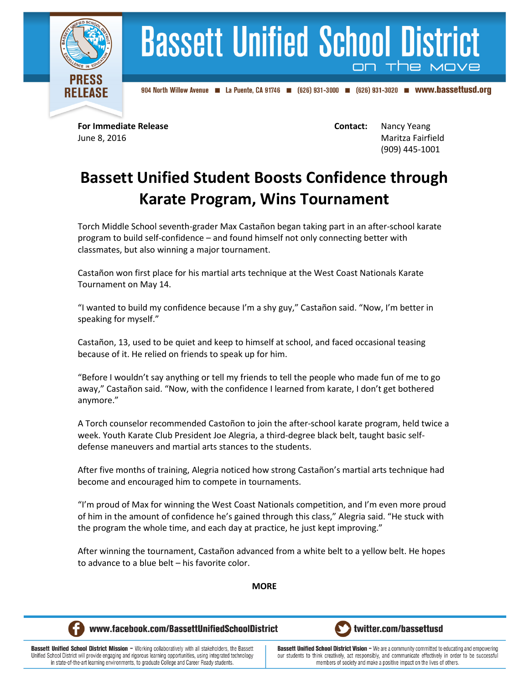

## **Bassett Unified School District** on the

904 North Willow Avenue 4 La Puente, CA 91746 (626) 931-3000 (626) 931-3020 **m** WWW.bassettusd.org

**For Immediate Release <b>Contact:** Nancy Yeang June 8, 2016 Maritza Fairfield (909) 445-1001

## **Bassett Unified Student Boosts Confidence through Karate Program, Wins Tournament**

Torch Middle School seventh-grader Max Castañon began taking part in an after-school karate program to build self-confidence – and found himself not only connecting better with classmates, but also winning a major tournament.

Castañon won first place for his martial arts technique at the West Coast Nationals Karate Tournament on May 14.

"I wanted to build my confidence because I'm a shy guy," Castañon said. "Now, I'm better in speaking for myself."

Castañon, 13, used to be quiet and keep to himself at school, and faced occasional teasing because of it. He relied on friends to speak up for him.

"Before I wouldn't say anything or tell my friends to tell the people who made fun of me to go away," Castañon said. "Now, with the confidence I learned from karate, I don't get bothered anymore."

A Torch counselor recommended Castoñon to join the after-school karate program, held twice a week. Youth Karate Club President Joe Alegria, a third-degree black belt, taught basic selfdefense maneuvers and martial arts stances to the students.

After five months of training, Alegria noticed how strong Castañon's martial arts technique had become and encouraged him to compete in tournaments.

"I'm proud of Max for winning the West Coast Nationals competition, and I'm even more proud of him in the amount of confidence he's gained through this class," Alegria said. "He stuck with the program the whole time, and each day at practice, he just kept improving."

After winning the tournament, Castañon advanced from a white belt to a yellow belt. He hopes to advance to a blue belt – his favorite color.

**MORE**



www.facebook.com/BassettUnifiedSchoolDistrict



**Bassett Unified School District Mission - Working collaboratively with all stakeholders, the Bassett** Unified School District will provide engaging and rigorous learning opportunities, using integrated technology in state-of-the-art learning environments, to graduate College and Career Ready students.

**Bassett Unified School District Vision - We are a community committed to educating and empowering** our students to think creatively, act responsibly, and communicate effectively in order to be successful members of society and make a positive impact on the lives of others.